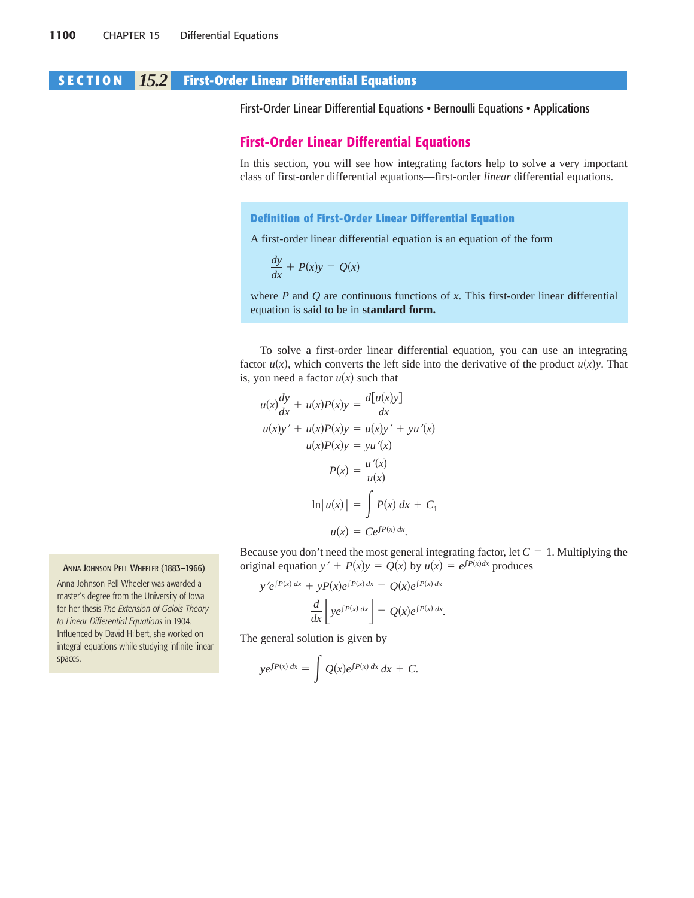# **SECTION** *15.2* **First-Order Linear Differential Equations**

First-Order Linear Differential Equations • Bernoulli Equations • Applications

## **First-Order Linear Differential Equations**

In this section, you will see how integrating factors help to solve a very important class of first-order differential equations—first-order *linear* differential equations.

## **Definition of First-Order Linear Differential Equation**

A first-order linear differential equation is an equation of the form

$$
\frac{dy}{dx} + P(x)y = Q(x)
$$

where *P* and *Q* are continuous functions of *x*. This first-order linear differential equation is said to be in **standard form.**

To solve a first-order linear differential equation, you can use an integrating factor  $u(x)$ , which converts the left side into the derivative of the product  $u(x)y$ . That is, you need a factor  $u(x)$  such that

$$
u(x)\frac{dy}{dx} + u(x)P(x)y = \frac{d[u(x)y]}{dx}
$$
  
\n
$$
u(x)y' + u(x)P(x)y = u(x)y' + yu'(x)
$$
  
\n
$$
u(x)P(x)y = yu'(x)
$$
  
\n
$$
P(x) = \frac{u'(x)}{u(x)}
$$
  
\n
$$
\ln|u(x)| = \int P(x) dx + C_1
$$
  
\n
$$
u(x) = Ce^{\int P(x) dx}.
$$

Because you don't need the most general integrating factor, let  $C = 1$ . Multiplying the original equation  $y' + P(x)y = Q(x)$  by  $u(x) = e^{\int P(x)dx}$  produces

$$
y'e^{\int P(x) dx} + yP(x)e^{\int P(x) dx} = Q(x)e^{\int P(x) dx}
$$

$$
\frac{d}{dx}\left[ye^{\int P(x) dx}\right] = Q(x)e^{\int P(x) dx}.
$$

The general solution is given by

$$
ye^{\int P(x) dx} = \int Q(x)e^{\int P(x) dx} dx + C.
$$

#### ANNA JOHNSON PELL WHEELER (1883–1966)

Anna Johnson Pell Wheeler was awarded a master's degree from the University of Iowa for her thesis *The Extension of Galois Theory to Linear Differential Equations* in 1904. Influenced by David Hilbert, she worked on integral equations while studying infinite linear spaces.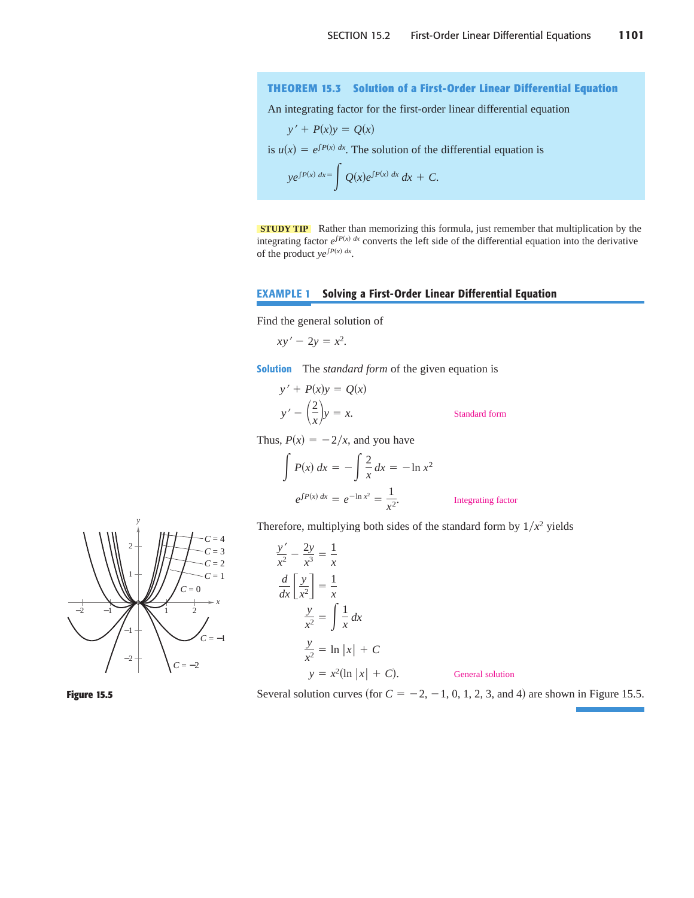## **THEOREM 15.3 Solution of a First-Order Linear Differential Equation**

An integrating factor for the first-order linear differential equation

$$
y' + P(x)y = Q(x)
$$
  
is  $u(x) = e^{\int P(x) dx}$ . The solution of the differential equation is  

$$
ye^{\int P(x) dx} = \int Q(x)e^{\int P(x) dx} dx + C.
$$

**STUDY TIP** Rather than memorizing this formula, just remember that multiplication by the integrating factor  $e^{\int P(x) dx}$  converts the left side of the differential equation into the derivative of the product  $ye^{\int P(x) dx}$ .

## **EXAMPLE 1 Solving a First-Order Linear Differential Equation**

Find the general solution of

$$
xy'-2y=x^2.
$$

**Solution** The *standard form* of the given equation is

$$
y' + P(x)y = Q(x)
$$
  

$$
y' - \left(\frac{2}{x}\right)y = x.
$$
 Standard form

Thus,  $P(x) = -2/x$ , and you have

$$
\int P(x) dx = -\int \frac{2}{x} dx = -\ln x^2
$$
  

$$
e^{\int P(x) dx} = e^{-\ln x^2} = \frac{1}{x^2}.
$$
 Integrating factor

Therefore, multiplying both sides of the standard form by  $1/x^2$  yields







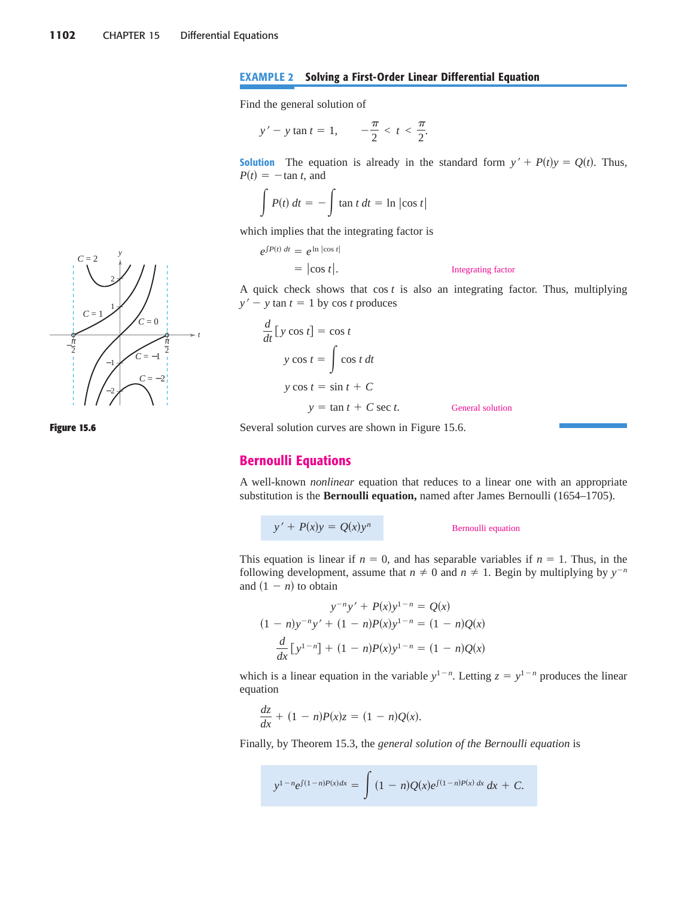### **EXAMPLE 2 Solving a First-Order Linear Differential Equation**

Find the general solution of

$$
y'-y \tan t = 1, \quad -\frac{\pi}{2} < t < \frac{\pi}{2}.
$$

**Solution** The equation is already in the standard form  $y' + P(t)y = Q(t)$ . Thus,  $P(t) = -\tan t$ , and

$$
\int P(t) dt = - \int \tan t dt = \ln |\cos t|
$$

which implies that the integrating factor is

$$
e^{\int P(t) dt} = e^{\ln |\cos t|}
$$
  
=  $|\cos t|$ . Integrating factor

A quick check shows that  $\cos t$  is also an integrating factor. Thus, multiplying  $y' - y \tan t = 1$  by cos *t* produces

$$
\frac{d}{dt} [y \cos t] = \cos t
$$
  

$$
y \cos t = \int \cos t \, dt
$$
  

$$
y \cos t = \sin t + C
$$
  

$$
y = \tan t + C \sec t.
$$
 General solution

*y*

2

1

−1

−2

 $\pi$   $\pi$  $-\frac{\pi}{2}$  /  $\frac{\pi}{2}$ 

 $C = -1$ 

 $C = 0$ 

*C* = −2

*C* = 2

*C* = 1

*t*

#### **Figure 15.6**

Several solution curves are shown in Figure 15.6.

## **Bernoulli Equations**

A well-known *nonlinear* equation that reduces to a linear one with an appropriate substitution is the **Bernoulli equation,** named after James Bernoulli (1654–1705).

$$
y' + P(x)y = Q(x)y^n
$$

#### *Bernoulli equation*

This equation is linear if  $n = 0$ , and has separable variables if  $n = 1$ . Thus, in the following development, assume that  $n \neq 0$  and  $n \neq 1$ . Begin by multiplying by  $y^{-n}$ and  $(1 - n)$  to obtain

$$
y^{-n}y' + P(x)y^{1-n} = Q(x)
$$
  
(1 - n)y<sup>-n</sup>y' + (1 - n)P(x)y<sup>1-n</sup> = (1 - n)Q(x)  

$$
\frac{d}{dx}[y^{1-n}] + (1 - n)P(x)y^{1-n} = (1 - n)Q(x)
$$

which is a linear equation in the variable  $y^{1-n}$ . Letting  $z = y^{1-n}$  produces the linear equation

$$
\frac{dz}{dx} + (1 - n)P(x)z = (1 - n)Q(x).
$$

Finally, by Theorem 15.3, the *general solution of the Bernoulli equation* is

$$
y^{1-n}e^{\int (1-n)P(x)dx} = \int (1-n)Q(x)e^{\int (1-n)P(x)dx} dx + C.
$$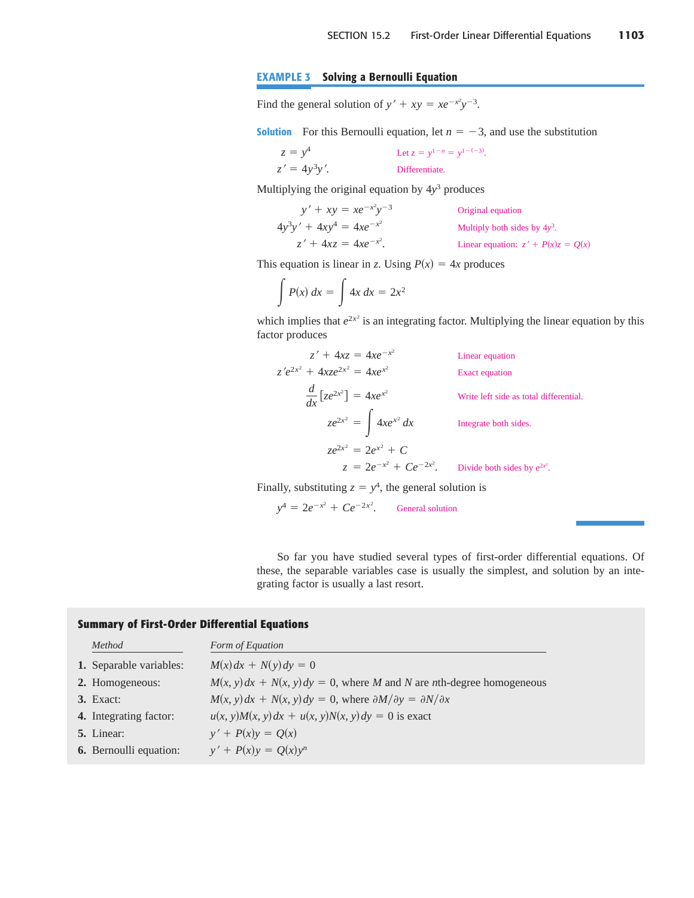## **EXAMPLE 3 Solving a Bernoulli Equation**

Find the general solution of  $y' + xy = xe^{-x^2}y^{-3}$ .

**Solution** For this Bernoulli equation, let  $n = -3$ , and use the substitution

 $z = y^4$  Let  $z = y^{1-n} = y^{1-(-3)}$ . Differentiate.  $z' = 4y^3y'.$ 

Multiplying the original equation by  $4y<sup>3</sup>$  produces

| $y' + xy = xe^{-x^2}y^{-3}$   | Original equation                    |
|-------------------------------|--------------------------------------|
| $4y^3y' + 4xy^4 = 4xe^{-x^2}$ | Multiply both sides by $4y^3$ .      |
| $z' + 4xz = 4xe^{-x^2}$ .     | Linear equation: $z' + P(x)z = Q(x)$ |

This equation is linear in *z*. Using  $P(x) = 4x$  produces

$$
\int P(x) \, dx = \int 4x \, dx = 2x^2
$$

which implies that  $e^{2x^2}$  is an integrating factor. Multiplying the linear equation by this factor produces

$$
z' + 4xz = 4xe^{-x^{2}}
$$
  
Linear equation  

$$
z'e^{2x^{2}} + 4xze^{2x^{2}} = 4xe^{x^{2}}
$$
  
Exact equation  

$$
\frac{d}{dx}[ze^{2x^{2}}] = 4xe^{x^{2}}
$$
  
Write left side as total differential.  

$$
ze^{2x^{2}} = \int 4xe^{x^{2}} dx
$$
  
Integrate both sides.  

$$
ze^{2x^{2}} = 2e^{x^{2}} + C
$$

$$
z = 2e^{-x^{2}} + Ce^{-2x^{2}}.
$$
Divide both sides by  $e^{2x^{2}}$ .

Finally, substituting  $z = y^4$ , the general solution is

 $y^4 = 2e^{-x^2} + Ce^{-2x^2}$ . General solution

So far you have studied several types of first-order differential equations. Of these, the separable variables case is usually the simplest, and solution by an integrating factor is usually a last resort.

## **Summary of First-Order Differential Equations**

| Method                         | Form of Equation                                                                      |
|--------------------------------|---------------------------------------------------------------------------------------|
| <b>1.</b> Separable variables: | $M(x)dx + N(y)dy = 0$                                                                 |
| 2. Homogeneous:                | $M(x, y) dx + N(x, y) dy = 0$ , where M and N are nth-degree homogeneous              |
| $3.$ Exact:                    | $M(x, y) dx + N(x, y) dy = 0$ , where $\partial M/\partial y = \partial N/\partial x$ |
| 4. Integrating factor:         | $u(x, y)M(x, y)dx + u(x, y)N(x, y)dy = 0$ is exact                                    |
| <b>5.</b> Linear:              | $y' + P(x)y = Q(x)$                                                                   |
| <b>6.</b> Bernoulli equation:  | $y' + P(x)y = Q(x)y^n$                                                                |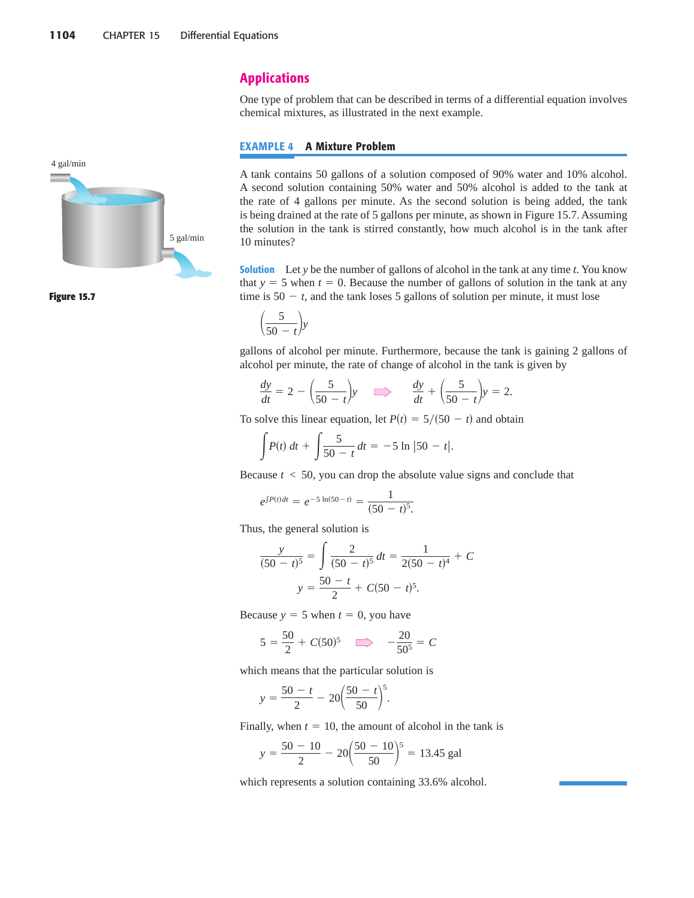

**Figure 15.7**

## **Applications**

One type of problem that can be described in terms of a differential equation involves chemical mixtures, as illustrated in the next example.

### **EXAMPLE 4 A Mixture Problem**

A tank contains 50 gallons of a solution composed of 90% water and 10% alcohol. A second solution containing 50% water and 50% alcohol is added to the tank at the rate of 4 gallons per minute. As the second solution is being added, the tank is being drained at the rate of 5 gallons per minute, as shown in Figure 15.7. Assuming the solution in the tank is stirred constantly, how much alcohol is in the tank after 10 minutes?

**Solution** Let *y* be the number of gallons of alcohol in the tank at any time *t*. You know that  $y = 5$  when  $t = 0$ . Because the number of gallons of solution in the tank at any time is  $50 - t$ , and the tank loses 5 gallons of solution per minute, it must lose

$$
\left(\frac{5}{50-t}\right)y
$$

gallons of alcohol per minute. Furthermore, because the tank is gaining 2 gallons of alcohol per minute, the rate of change of alcohol in the tank is given by

$$
\frac{dy}{dt} = 2 - \left(\frac{5}{50 - t}\right)y \implies \frac{dy}{dt} + \left(\frac{5}{50 - t}\right)y = 2.
$$

To solve this linear equation, let  $P(t) = \frac{5}{50 - t}$  and obtain

$$
\int P(t) dt + \int \frac{5}{50 - t} dt = -5 \ln |50 - t|.
$$

Because  $t < 50$ , you can drop the absolute value signs and conclude that

$$
e^{\int P(t)dt} = e^{-5\ln(50-t)} = \frac{1}{(50-t)^5}.
$$

Thus, the general solution is

$$
\frac{y}{(50-t)^5} = \int \frac{2}{(50-t)^5} dt = \frac{1}{2(50-t)^4} + C
$$

$$
y = \frac{50-t}{2} + C(50-t)^5.
$$

Because  $y = 5$  when  $t = 0$ , you have

$$
5 = \frac{50}{2} + C(50)^5 \implies -\frac{20}{50^5} = C
$$

which means that the particular solution is

$$
y = \frac{50 - t}{2} - 20\left(\frac{50 - t}{50}\right)^5.
$$

Finally, when  $t = 10$ , the amount of alcohol in the tank is

$$
y = \frac{50 - 10}{2} - 20 \left( \frac{50 - 10}{50} \right)^5 = 13.45 \text{ gal}
$$

which represents a solution containing 33.6% alcohol.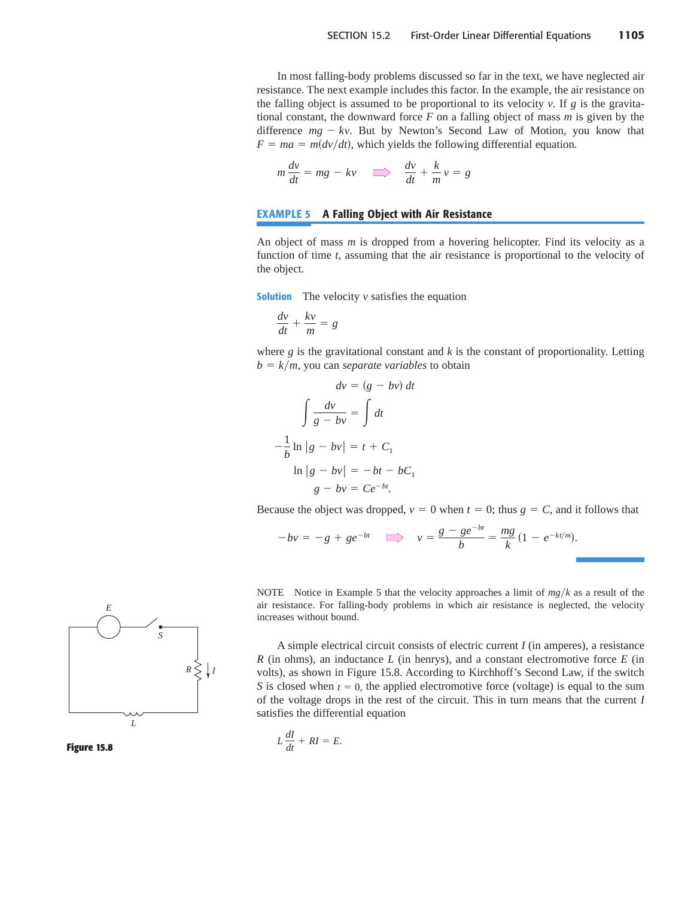In most falling-body problems discussed so far in the text, we have neglected air resistance. The next example includes this factor. In the example, the air resistance on the falling object is assumed to be proportional to its velocity  $v$ . If  $g$  is the gravitational constant, the downward force *F* on a falling object of mass *m* is given by the difference  $mg - kv$ . But by Newton's Second Law of Motion, you know that  $F = ma = m(dv/dt)$ , which yields the following differential equation.

$$
m\frac{dv}{dt} = mg - kv \implies \frac{dv}{dt} + \frac{k}{m}v = g
$$

### **EXAMPLE 5 A Falling Object with Air Resistance**

An object of mass *m* is dropped from a hovering helicopter. Find its velocity as a function of time *t*, assuming that the air resistance is proportional to the velocity of the object.

**Solution** The velocity *v* satisfies the equation

$$
\frac{dv}{dt} + \frac{kv}{m} = g
$$

where *g* is the gravitational constant and *k* is the constant of proportionality. Letting  $b = k/m$ , you can *separate variables* to obtain

$$
dv = (g - bv) dt
$$

$$
\int \frac{dv}{g - bv} = \int dt
$$

$$
-\frac{1}{b} \ln|g - bv| = t + C_1
$$

$$
\ln|g - bv| = -bt - bC_1
$$

$$
g - bv = Ce^{-bt}.
$$

Because the object was dropped,  $v = 0$  when  $t = 0$ ; thus  $g = C$ , and it follows that

$$
-bv = -g + ge^{-bt} \implies v = \frac{g - ge^{-bt}}{b} = \frac{mg}{k} (1 - e^{-kt/m}).
$$

NOTE Notice in Example 5 that the velocity approaches a limit of  $mg/k$  as a result of the air resistance. For falling-body problems in which air resistance is neglected, the velocity increases without bound.

A simple electrical circuit consists of electric current *I* (in amperes), a resistance *R* (in ohms), an inductance *L* (in henrys), and a constant electromotive force *E* (in volts), as shown in Figure 15.8. According to Kirchhoff's Second Law, if the switch *S* is closed when  $t = 0$ , the applied electromotive force (voltage) is equal to the sum of the voltage drops in the rest of the circuit. This in turn means that the current *I* satisfies the differential equation

$$
L\frac{dI}{dt} + RI = E.
$$



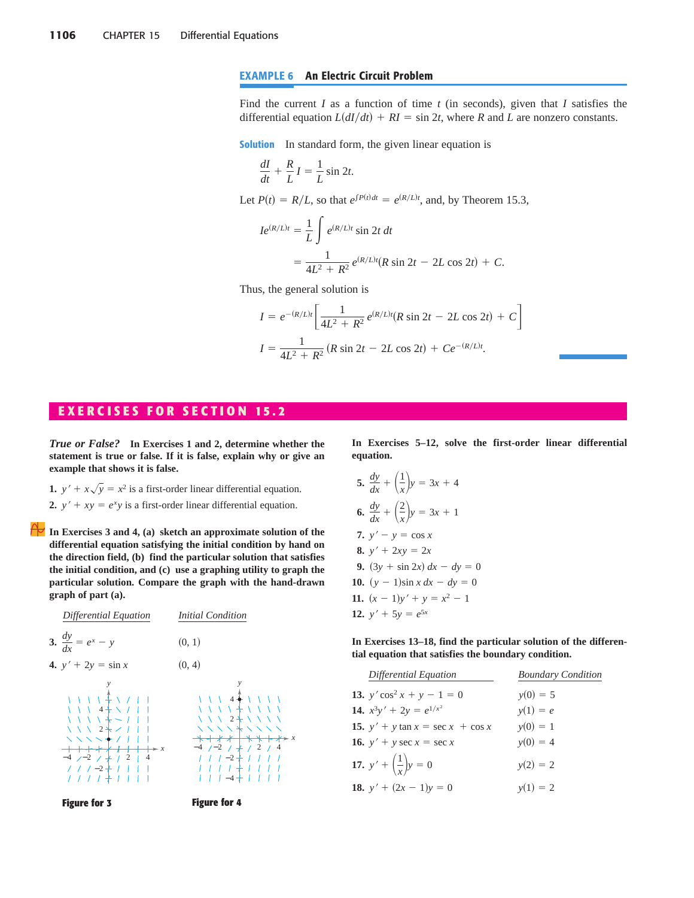## **EXAMPLE 6 An Electric Circuit Problem**

Find the current *I* as a function of time *t* (in seconds), given that *I* satisfies the differential equation  $L(dI/dt) + RI = \sin 2t$ , where *R* and *L* are nonzero constants.

**Solution** In standard form, the given linear equation is

$$
\frac{dI}{dt} + \frac{R}{L}I = \frac{1}{L}\sin 2t.
$$

Let  $P(t) = R/L$ , so that  $e^{\int P(t)dt} = e^{(R/L)t}$ , and, by Theorem 15.3,

$$
Ie^{(R/L)t} = \frac{1}{L} \int e^{(R/L)t} \sin 2t \, dt
$$
  
=  $\frac{1}{4L^2 + R^2} e^{(R/L)t} (R \sin 2t - 2L \cos 2t) + C.$ 

Thus, the general solution is

$$
I = e^{-(R/L)t} \left[ \frac{1}{4L^2 + R^2} e^{(R/L)t} (R \sin 2t - 2L \cos 2t) + C \right]
$$
  

$$
I = \frac{1}{4L^2 + R^2} (R \sin 2t - 2L \cos 2t) + Ce^{-(R/L)t}.
$$

## **E X E R C I S E S F O R S E C T I O N 15.2**

*True or False?* **In Exercises 1 and 2, determine whether the statement is true or false. If it is false, explain why or give an example that shows it is false.**

- **1.**  $y' + x\sqrt{y} = x^2$  is a first-order linear differential equation.
- 2.  $y' + xy = e^x y$  is a first-order linear differential equation.

**In Exercises 3 and 4, (a) sketch an approximate solution of the differential equation satisfying the initial condition by hand on the direction field, (b) find the particular solution that satisfies the initial condition, and (c) use a graphing utility to graph the particular solution. Compare the graph with the hand-drawn graph of part (a).**



**In Exercises 5–12, solve the first-order linear differential equation.**

5. 
$$
\frac{dy}{dx} + \left(\frac{1}{x}\right)y = 3x + 4
$$
  
\n6.  $\frac{dy}{dx} + \left(\frac{2}{x}\right)y = 3x + 1$   
\n7.  $y' - y = \cos x$   
\n8.  $y' + 2xy = 2x$   
\n9.  $(3y + \sin 2x) dx - dy = 0$   
\n10.  $(y - 1)\sin x dx - dy = 0$   
\n11.  $(x - 1)y' + y = x^2 - 1$   
\n12.  $y' + 5y = e^{5x}$ 

**In Exercises 13–18, find the particular solution of the differential equation that satisfies the boundary condition.**

| Differential Equation                        | <b>Boundary Condition</b> |
|----------------------------------------------|---------------------------|
| 13. $y' \cos^2 x + y - 1 = 0$                | $y(0) = 5$                |
| 14. $x^3y' + 2y = e^{1/x^2}$                 | $y(1) = e$                |
| <b>15.</b> $y' + y \tan x = \sec x + \cos x$ | $y(0) = 1$                |
| <b>16.</b> $y' + y \sec x = \sec x$          | $y(0) = 4$                |
| 17. $y' + \left(\frac{1}{x}\right)y = 0$     | $y(2) = 2$                |
| <b>18.</b> $y' + (2x - 1)y = 0$              | $y(1) = 2$                |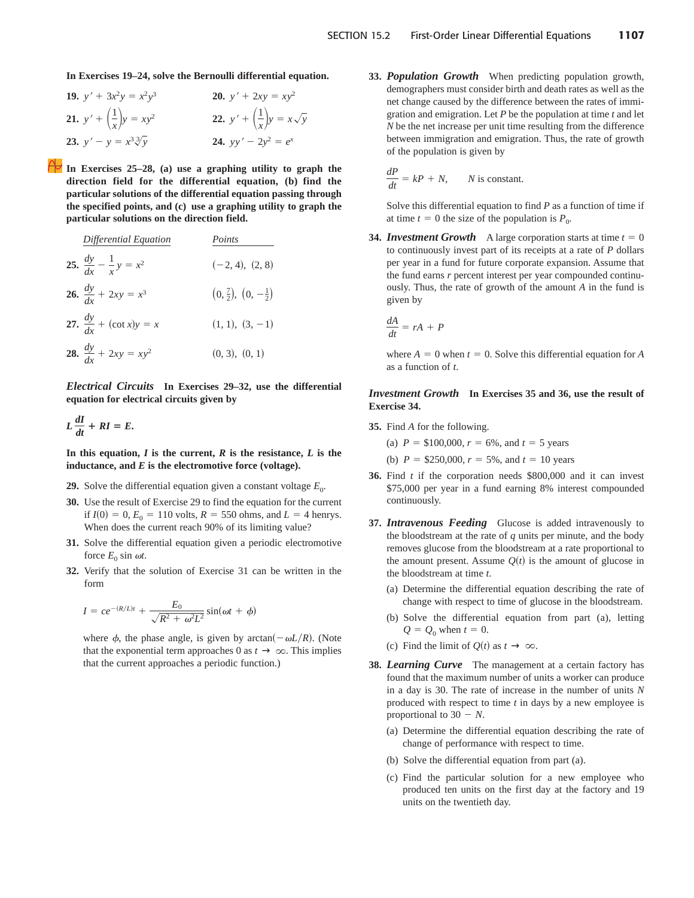**In Exercises 19–24, solve the Bernoulli differential equation.**

| 19. $y' + 3x^2y = x^2y^3$                          | <b>20.</b> $y' + 2xy = xy^2$                            |
|----------------------------------------------------|---------------------------------------------------------|
| <b>21.</b> $y' + \left(\frac{1}{x}\right)y = xy^2$ | <b>22.</b> $y' + \left(\frac{1}{x}\right)y = x\sqrt{y}$ |
| <b>23.</b> $y' - y = x^3 \sqrt[3]{y}$              | <b>24.</b> $yy' - 2y^2 = e^x$                           |

**In Exercises 25–28, (a) use a graphing utility to graph the direction field for the differential equation, (b) find the particular solutions of the differential equation passing through the specified points, and (c) use a graphing utility to graph the particular solutions on the direction field.**

| Differential Equation                     | Points                                |
|-------------------------------------------|---------------------------------------|
| 25. $\frac{dy}{dx} - \frac{1}{x}y = x^2$  | $(-2, 4), (2, 8)$                     |
| 26. $\frac{dy}{dx} + 2xy = x^3$           | $(0, \frac{7}{2}), (0, -\frac{1}{2})$ |
| <b>27.</b> $\frac{dy}{dx}$ + (cot x)y = x | $(1, 1), (3, -1)$                     |
| <b>28.</b> $\frac{dy}{dx} + 2xy = xy^2$   | (0, 3), (0, 1)                        |

*Electrical Circuits* **In Exercises 29–32, use the differential equation for electrical circuits given by**

$$
L\frac{dI}{dt} + RI = E.
$$

In this equation,  $I$  is the current,  $R$  is the resistance,  $L$  is the **inductance, and** *E* **is the electromotive force (voltage).**

- **29.** Solve the differential equation given a constant voltage  $E_0$ .
- **30.** Use the result of Exercise 29 to find the equation for the current if  $I(0) = 0$ ,  $E_0 = 110$  volts,  $R = 550$  ohms, and  $L = 4$  henrys. When does the current reach 90% of its limiting value?
- **31.** Solve the differential equation given a periodic electromotive force  $E_0$  sin  $\omega t$ .
- **32.** Verify that the solution of Exercise 31 can be written in the form

$$
I = ce^{-(R/L)t} + \frac{E_0}{\sqrt{R^2 + \omega^2 L^2}} \sin(\omega t + \phi)
$$

where  $\phi$ , the phase angle, is given by  $arctan(-\omega L/R)$ . (Note that the exponential term approaches 0 as  $t \to \infty$ . This implies that the current approaches a periodic function.)

**33.** *Population Growth* When predicting population growth, demographers must consider birth and death rates as well as the net change caused by the difference between the rates of immigration and emigration. Let *P* be the population at time *t* and let *N* be the net increase per unit time resulting from the difference between immigration and emigration. Thus, the rate of growth of the population is given by

$$
\frac{dP}{dt} = kP + N, \qquad N \text{ is constant.}
$$

Solve this differential equation to find *P* as a function of time if at time  $t = 0$  the size of the population is  $P_0$ .

**34.** *Investment Growth* A large corporation starts at time  $t = 0$ to continuously invest part of its receipts at a rate of *P* dollars per year in a fund for future corporate expansion. Assume that the fund earns *r* percent interest per year compounded continuously. Thus, the rate of growth of the amount *A* in the fund is given by

$$
\frac{dA}{dt} = rA + P
$$

where  $A = 0$  when  $t = 0$ . Solve this differential equation for  $A$ as a function of *t*.

*Investment Growth* **In Exercises 35 and 36, use the result of Exercise 34.**

**35.** Find *A* for the following.

(a)  $P = \$100,000, r = 6\%$ , and  $t = 5$  years

(b)  $P = $250,000, r = 5\%$ , and  $t = 10$  years

- **36.** Find *t* if the corporation needs \$800,000 and it can invest \$75,000 per year in a fund earning 8% interest compounded continuously.
- **37.** *Intravenous Feeding* Glucose is added intravenously to the bloodstream at the rate of *q* units per minute, and the body removes glucose from the bloodstream at a rate proportional to the amount present. Assume  $Q(t)$  is the amount of glucose in the bloodstream at time *t*.
	- (a) Determine the differential equation describing the rate of change with respect to time of glucose in the bloodstream.
	- (b) Solve the differential equation from part (a), letting  $Q = Q_0$  when  $t = 0$ .
	- (c) Find the limit of  $Q(t)$  as  $t \to \infty$ .
- **38.** *Learning Curve* The management at a certain factory has found that the maximum number of units a worker can produce in a day is 30. The rate of increase in the number of units *N* produced with respect to time *t* in days by a new employee is proportional to  $30 - N$ .
	- (a) Determine the differential equation describing the rate of change of performance with respect to time.
	- (b) Solve the differential equation from part (a).
	- (c) Find the particular solution for a new employee who produced ten units on the first day at the factory and 19 units on the twentieth day.